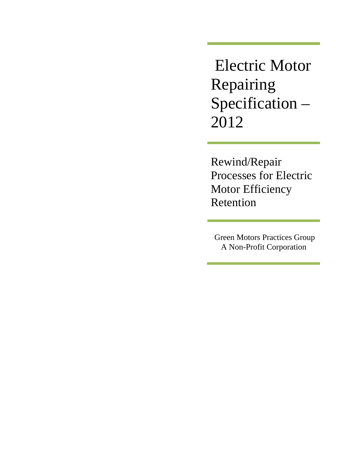Electric Motor Repairing Specification – 2012

Rewind/Repair Processes for Electric Motor Efficiency Retention

 Green Motors Practices Group A Non-Profit Corporation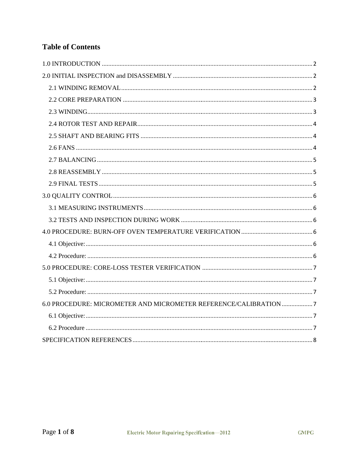# **Table of Contents**

| 6.0 PROCEDURE: MICROMETER AND MICROMETER REFERENCE/CALIBRATION7 |
|-----------------------------------------------------------------|
|                                                                 |
|                                                                 |
|                                                                 |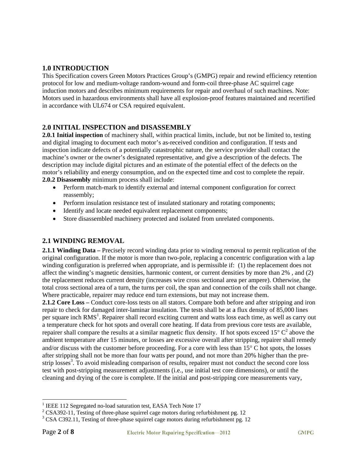#### **1.0 INTRODUCTION**

This Specification covers Green Motors Practices Group's (GMPG) repair and rewind efficiency retention protocol for low and medium-voltage random-wound and form-coil three-phase AC squirrel cage induction motors and describes minimum requirements for repair and overhaul of such machines. Note: Motors used in hazardous environments shall have all explosion-proof features maintained and recertified in accordance with UL674 or CSA required equivalent.

#### 2.0 INITIAL INSPECTION and DISASSEMBLY

2.0.1 Initial inspection of machinery shall, within practical limits, include, but not be limited to, testing and digital imaging to document each motor's as-received condition and configuration. If tests and inspection indicate defects of a potentially catastrophic nature, the service provider shall contact the machine's owner or the owner's designated representative, and give a description of the defects. The description may include digital pictures and an estimate of the potential effect of the defects on the motor's reliability and energy consumption, and on the expected time and cost to complete the repair. 2.0.2 Disassembly minimum process shall include:

- Perform match-mark to identify external and internal component configuration for correct reassembly;
- Perform insulation resistance test of insulated stationary and rotating components;
- Identify and locate needed equivalent replacement components;
- Store disassembled machinery protected and isolated from unrelated components.

## **2.1 WINDING REMOVAL**

2.1.1 Winding Data – Precisely record winding data prior to winding removal to permit replication of the original configuration. If the motor is more than two-pole, replacing a concentric configuration with a lap winding configuration is preferred when appropriate, and is permissible if: (1) the replacement does not affect the winding's magnetic densities, harmonic content, or current densities by more than 2%, and (2) the replacement reduces current density (increases wire cross sectional area per ampere). Otherwise, the total cross sectional area of a turn, the turns per coil, the span and connection of the coils shall not change. Where practicable, repairer may reduce end turn extensions, but may not increase them.

2.1.2 Core Loss – Conduct core-loss tests on all stators. Compare both before and after stripping and iron repair to check for damaged inter-laminar insulation. The tests shall be at a flux density of 85,000 lines per square inch RMS<sup>1</sup>. Repairer shall record exciting current and watts loss each time, as well as carry out a temperature check for hot spots and overall core heating. If data from previous core tests are available, repairer shall compare the results at a similar magnetic flux density. If hot spots exceed  $15^{\circ}$  C<sup>2</sup> above the ambient temperature after 15 minutes, or losses are excessive overall after stripping, repairer shall remedy and/or discuss with the customer before proceeding. For a core with less than  $15^{\circ}$  C hot spots, the losses after stripping shall not be more than four watts per pound, and not more than 20% higher than the prestrip losses<sup>3</sup>. To avoid misleading comparison of results, repairer must not conduct the second core loss test with post-stripping measurement adjustments (i.e., use initial test core dimensions), or until the cleaning and drying of the core is complete. If the initial and post-stripping core measurements vary,

<sup>&</sup>lt;sup>1</sup> IEEE 112 Segregated no-load saturation test, EASA Tech Note 17

 $2$  CSA392-11, Testing of three-phase squirrel cage motors during refurbishment pg. 12

 $3$  CSA C392.11, Testing of three-phase squirrel cage motors during refurbishment pg. 12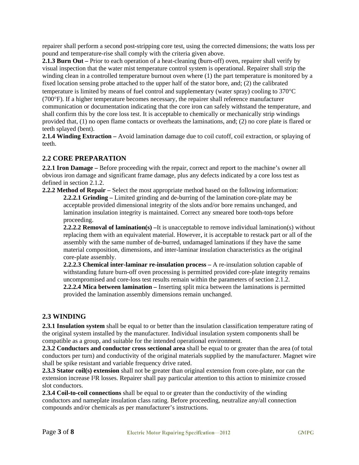repairer shall perform a second post-stripping core test, using the corrected dimensions; the watts loss per pound and temperature-rise shall comply with the criteria given above.

**2.1.3 Burn Out** – Prior to each operation of a heat-cleaning (burn-off) oven, repairer shall verify by visual inspection that the water mist temperature control system is operational. Repairer shall strip the winding clean in a controlled temperature burnout oven where  $(1)$  the part temperature is monitored by a fixed location sensing probe attached to the upper half of the stator bore, and; (2) the calibrated temperature is limited by means of fuel control and supplementary (water spray) cooling to  $370^{\circ}$ C (700°F). If a higher temperature becomes necessary, the repairer shall reference manufacturer communication or documentation indicating that the core iron can safely withstand the temperature, and shall confirm this by the core loss test. It is acceptable to chemically or mechanically strip windings provided that, (1) no open flame contacts or overheats the laminations, and; (2) no core plate is flared or teeth splayed (bent).

2.1.4 Winding Extraction – Avoid lamination damage due to coil cutoff, coil extraction, or splaying of teeth.

# **2.2 CORE PREPARATION**

2.2.1 Iron Damage – Before proceeding with the repair, correct and report to the machine's owner all obvious iron damage and significant frame damage, plus any defects indicated by a core loss test as defined in section 2.1.2.

2.2.2 Method of Repair - Select the most appropriate method based on the following information: 2.2.2.1 Grinding – Limited grinding and de-burring of the lamination core-plate may be acceptable provided dimensional integrity of the slots and/or bore remains unchanged, and lamination insulation integrity is maintained. Correct any smeared bore tooth-tops before proceeding.

**2.2.2.2 Removal of lamination(s)** – It is unacceptable to remove individual lamination(s) without replacing them with an equivalent material. However, it is acceptable to restack part or all of the assembly with the same number of de-burred, undamaged laminations if they have the same material composition, dimensions, and inter-laminar insulation characteristics as the original core-plate assembly.

2.2.2.3 Chemical inter-laminar re-insulation process - A re-insulation solution capable of with standing future burn-off oven processing is permitted provided core-plate integrity remains uncompromised and core-loss test results remain within the parameters of section 2.1.2. 2.2.2.4 Mica between lamination – Inserting split mica between the laminations is permitted provided the lamination assembly dimensions remain unchanged.

## 2.3 WINDING

2.3.1 Insulation system shall be equal to or better than the insulation classification temperature rating of the original system installed by the manufacturer. Individual insulation system components shall be compatible as a group, and suitable for the intended operational environment.

2.3.2 Conductors and conductor cross sectional area shall be equal to or greater than the area (of total conductors per turn) and conductivity of the original materials supplied by the manufacturer. Magnet wire shall be spike resistant and variable frequency drive rated.

2.3.3 Stator coil(s) extension shall not be greater than original extension from core-plate, nor can the extension increase I<sup>2</sup>R losses. Repairer shall pay particular attention to this action to minimize crossed slot conductors.

2.3.4 Coil-to-coil connections shall be equal to or greater than the conductivity of the winding conductors and nameplate insulation class rating. Before proceeding, neutralize any/all connection compounds and/or chemicals as per manufacturer's instructions.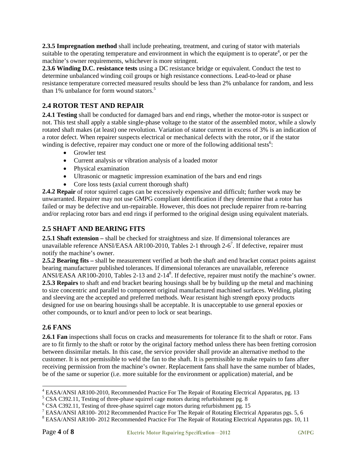2.3.5 Impregnation method shall include preheating, treatment, and curing of stator with materials suitable to the operating temperature and environment in which the equipment is to operate<sup>4</sup>, or per the machine's owner requirements, whichever is more stringent.

2.3.6 Winding D.C. resistance tests using a DC resistance bridge or equivalent. Conduct the test to determine unbalanced winding coil groups or high resistance connections. Lead-to-lead or phase resistance temperature corrected measured results should be less than 2% unbalance for random, and less than 1% unbalance for form wound stators.<sup>5</sup>

# **2.4 ROT TOR TEST A AND REPA AIR**

2.4.1 Testing shall be conducted for damaged bars and end rings, whether the motor-rotor is suspect or not. This test shall apply a stable single-phase voltage to the stator of the assembled motor, while a slowly rotated shaft makes (at least) one revolution. Variation of stator current in excess of 3% is an indication of a rotor defect. When repairer suspects electrical or mechanical defects with the rotor, or if the stator winding is defective, repairer may conduct one or more of the following additional tests<sup>6</sup>:

- Growler test
- Current analysis or vibration analysis of a loaded motor
- Physical examination
- Ultrasonic or magnetic impression examination of the bars and end rings
- Core loss tests (axial current thorough shaft)

2.4.2 Repair of rotor squirrel cages can be excessively expensive and difficult; further work may be unwarranted. Repairer may not use GMPG compliant identification if they determine that a rotor has unwarranted. Repairer may not use GMPG compliant identification if they determine that a rotor has<br>failed or may be defective and un-repairable. However, this does not preclude repairer from re-barring and/or replacing rotor bars and end rings if performed to the original design using equivalent materials.

## **2.5 SHAFT AND BEARING FITS**

2.5.1 Shaft extension – shall be checked for straightness and size. If dimensional tolerances are unavailable reference ANSI/EASA AR100-2010, Tables 2-1 through 2-6<sup>7</sup>. If defective, repairer must notify the machine's owner. unavailable reference ANSI/EASA AR100-2010, Tables 2-1 through 2-6<sup>7</sup>. If defective, repairer must<br>notify the machine's owner.<br>**2.5.2 Bearing fits** – shall be measurement verified at both the shaft and end bracket contact

bearing manufacturer published tolerances. If dimensional tolerances are unavailable, reference ANSI/EASA AR100-2010, Tables 2-13 and 2-14<sup>8</sup>. If defective, repairer must notify the machine's owner. 2.5.3 Repairs to shaft and end bracket bearing housings shall be by building up the metal and machining to size concentric and parallel to component original manufactured machined surfaces. Welding, plating and sleeving are the accepted and preferred methods. Wear resistant high strength epoxy products designed for use on bearing housings shall be acceptable. It is unacceptable to use general epoxies or other compounds, or to knurl and/or peen to lock or seat bearings. designed for use on bearing housings shall be acceptable. It is unacceptable to use general epoxies or<br> **2.6 FANS**<br> **2.6.1 Fan** inspections shall focus on cracks and measurements for tolerance fit to the shaft or rotor. Fa

## **2.6 FAN S**

are to fit firmly to the shaft or rotor by the original factory method unless there has been fretting corrosion between dissimilar metals. In this case, the service provider shall provide an alternative method to the customer. It is not permissible to weld the fan to the shaft. It is permissible to make repairs to fans after receiving permission from the machine's owner. Replacement fans shall have the same number of blades, be of the same or superior (i.e. more suitable for the environment or application) material, and be

l

l

<sup>&</sup>lt;sup>4</sup> EASA/ANSI AR100-2010, Recommended Practice For The Repair of Rotating Electrical Apparatus, pg. 13<br><sup>5</sup> CSA C202.11. Testing of three phase squirrel aggs motors during refurbishment pg. 8

<sup>&</sup>lt;sup>5</sup> CSA C392.11, Testing of three-phase squirrel cage motors during refurbishment pg. 8<br><sup>6</sup> CSA C302.11, Testing of three phase squirrel cage motors during refurbishment pg. 15

<sup>&</sup>lt;sup>6</sup> CSA C392.11, Testing of three-phase squirrel cage motors during refurbishment pg. 15<br><sup>7</sup> EASA/ANSLAR100, 2012 Recommended Prestice For The Beneir of Betating Flectric

EASA/ANSI AR100-2012 Recommended Practice For The Repair of Rotating Electrical Apparatus pgs. 5, 6<sup>8</sup> EASA/ANSI AP100, 2012 Recommended Practice For The Repair of Rotating Electrical Apparatus pgs. 5, 6<sup>8</sup>

EASA/ANSI AR100-2012 Recommended Practice For The Repair of Rotating Electrical Apparatus pgs. 10, 11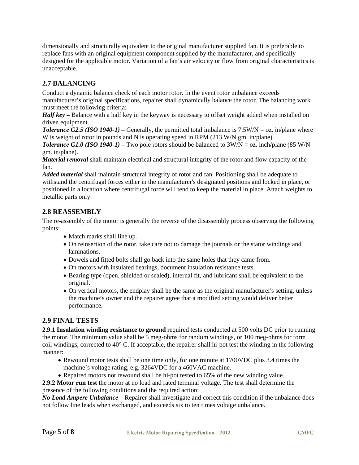dimensionally and structurally equivalent to the original manufacturer supplied fan. It is preferable to replace fans with an original equipment component supplied by the manufacturer, and specifically designed for the applicable motor. Variation of a fan's air velocity or flow from original characteristics is unacceptable.

# **2.7 BALANCING**

Conduct a dynamic balance check of each motor rotor. In the event rotor unbalance exceeds manufacturer's original specifications, repairer shall dynamically balance the rotor. The balancing work must meet the following criteria:

**Half key** – Balance with a half key in the keyway is necessary to offset weight added when installed on driven equipment.

**Tolerance G2.5 (ISO 1940-1)** – Generally, the permitted total imbalance is  $7.5W/N = oz$ . in/plane where W is weight of rotor in pounds and N is operating speed in RPM (213 W/N gm. in/plane).

*Tolerance G1.0 (ISO 1940-1)* – Two pole rotors should be balanced to  $3W/N = oz$ . inch/plane (85 W/N) gm. in/plane).

**Material removal** shall maintain electrical and structural integrity of the rotor and flow capacity of the fan.

Added material shall maintain structural integrity of rotor and fan. Positioning shall be adequate to with stand the centrifugal forces either in the manufacturer's designated positions and locked in place, or positioned in a location where centrifugal force will tend to keep the material in place. Attach weights to metallic parts only.

# **2.8 REASSEMBLY**

The re-assembly of the motor is generally the reverse of the disassembly process observing the following points:

- Match marks shall line up.
- On reinsertion of the rotor, take care not to damage the journals or the stator windings and laminations.
- Dowels and fitted bolts shall go back into the same holes that they came from.
- On motors with insulated bearings, document insulation resistance tests.
- Bearing type (open, shielded or sealed), internal fit, and lubricant shall be equivalent to the original.
- On vertical motors, the endplay shall be the same as the original manufacturer's setting, unless the machine's owner and the repairer agree that a modified setting would deliver better performance.

## **2.9 FINAL TESTS**

2.9.1 Insulation winding resistance to ground required tests conducted at 500 volts DC prior to running the motor. The minimum value shall be 5 meg-ohms for random windings, or 100 meg-ohms for form coil windings, corrected to 40° C. If acceptable, the repairer shall hi-pot test the winding in the following manner:

- Rewound motor tests shall be one time only, for one minute at 1700VDC plus 3.4 times the machine's voltage rating, e.g. 3264VDC for a 460VAC machine.
- Repaired motors not rewound shall be hi-pot tested to 65% of the new winding value.

2.9.2 Motor run test the motor at no load and rated terminal voltage. The test shall determine the presence of the following conditions and the required action:

No Load Ampere Unbalance – Repairer shall investigate and correct this condition if the unbalance does not follow line leads when exchanged, and exceeds six to ten times voltage unbalance.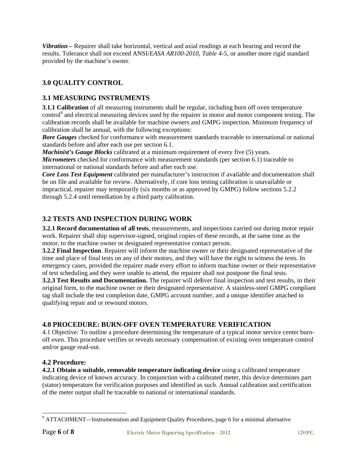Vibration – Repairer shall take horizontal, vertical and axial readings at each bearing and record the results. Tolerance shall not exceed ANSI/EASA AR100-2010, Table 4-5, or another more rigid standard provided by the machine's owner.

# 3.0 QUALITY CONTROL

## **3.1 MEASURING INSTRUMENTS**

3.1.1 Calibration of all measuring instruments shall be regular, including burn off oven temperature control<sup>9</sup> and electrical measuring devices used by the repairer in motor and motor component testing. The calibration records shall be available for machine owners and GMPG inspection. Minimum frequency of calibration shall be annual, with the following exceptions:

**Bore Gauges** checked for conformance with measurement standards traceable to international or national standards before and after each use per section 6.1.

**Machinist's Gauge Blocks** calibrated at a minimum requirement of every five (5) years.

*Micrometers* checked for conformance with measurement standards (per section 6.1) traceable to international or national standards before and after each use.

Core Loss Test Equipment calibrated per manufacturer's instruction if available and documentation shall be on file and available for review. Alternatively, if core loss testing calibration is unavailable or impractical, repairer may temporarily (six months or as approved by GMPG) follow sections 5.2.2 through 5.2.4 until remediation by a third party calibration.

## **3.2 TESTS AND INSPECTION DURING WORK**

3.2.1 Record documentation of all tests, measurements, and inspections carried out during motor repair work. Repairer shall ship supervisor-signed, original copies of these records, at the same time as the motor, to the machine owner or designated representative contact person.

**3.2.2 Final Inspection**. Repairer will inform the machine owner or their designated representative of the time and place of final tests on any of their motors, and they will have the right to witness the tests. In emergency cases, provided the repairer made every effort to inform machine owner or their representative of test scheduling and they were unable to attend, the repairer shall not postpone the final tests.

**3.2.3 Test Results and Documentation.** The repairer will deliver final inspection and test results, in their original form, to the machine owner or their designated representative. A stainless-steel GMPG compliant tag shall include the test completion date, GMPG account number, and a unique identifier attached to qualifying repair and or rewound motors.

## **4.0 PROCEDURE: BURN-OFF OVEN TEMPERATURE VERIFICATION**

4.1 Objective: To outline a procedure determining the temperature of a typical motor service center burnoff oven. This procedure verifies or reveals necessary compensation of existing oven temperature control and/or gauge read-out.

#### **4.2 Procedure:**

4.2.1 Obtain a suitable, removable temperature indicating device using a calibrated temperature indicating device of known accuracy. In conjunction with a calibrated meter, this device determines part (stator) temperature for verification purposes and identified as such. Annual calibration and certification of the meter output shall be traceable to national or international standards.

<sup>&</sup>lt;sup>9</sup> ATTACHMENT—Instrumentation and Equipment Quality Procedures, page 6 for a minimal alternative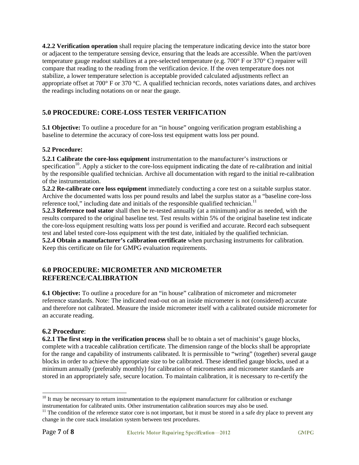4.2.2 Verification operation shall require placing the temperature indicating device into the stator bore or adjacent to the temperature sensing device, ensuring that the leads are accessible. When the part/oven temperature gauge readout stabilizes at a pre-selected temperature (e.g.  $700^{\circ}$  F or  $370^{\circ}$  C) repairer will compare that reading to the reading from the verification device. If the oven temperature does not stabilize, a lower temperature selection is acceptable provided calculated adjustments reflect an appropriate offset at 700° F or 370 °C. A qualified technician records, notes variations dates, and archives the readings including notations on or near the gauge.

# **5.0 PROCEDURE: CORE-LOSS TESTER VERIFICATION**

**5.1 Objective:** To outline a procedure for an "in house" ongoing verification program establishing a baseline to determine the accuracy of core-loss test equipment watts loss per pound.

#### **5.2 Procedure:**

**5.2.1 Calibrate the core-loss equipment** instrumentation to the manufacturer's instructions or specification<sup>10</sup>. Apply a sticker to the core-loss equipment indicating the date of re-calibration and initial by the responsible qualified technician. Archive all documentation with regard to the initial re-calibration of the instrumentation.

5.2.2 Re-calibrate core loss equipment immediately conducting a core test on a suitable surplus stator. Archive the documented watts loss per pound results and label the surplus stator as a "baseline core-loss" reference tool," including date and initials of the responsible qualified technician.<sup>11</sup>

**5.2.3 Reference tool stator** shall then be re-tested annually (at a minimum) and/or as needed, with the results compared to the original baseline test. Test results within 5% of the original baseline test indicate the core-loss equipment resulting watts loss per pound is verified and accurate. Record each subsequent test and label tested core-loss equipment with the test date, initialed by the qualified technician.

**5.2.4 Obtain a manufacturer's calibration certificate** when purchasing instruments for calibration. Keep this certificate on file for GMPG evaluation requirements.

#### **6.0 PROCEDURE: MICROMETER AND MICROMETER** REFERENCE/CALIBRATION

**6.1 Objective:** To outline a procedure for an "in house" calibration of micrometer and micrometer reference standards. Note: The indicated read-out on an inside micrometer is not (considered) accurate and therefore not calibrated. Measure the inside micrometer itself with a calibrated outside micrometer for an accurate reading.

#### **6.2 Procedure:**

**6.2.1 The first step in the verification process** shall be to obtain a set of machinist's gauge blocks, complete with a traceable calibration certificate. The dimension range of the blocks shall be appropriate for the range and capability of instruments calibrated. It is permissible to "wring" (together) several gauge blocks in order to achieve the appropriate size to be calibrated. These identified gauge blocks, used at a minimum annually (preferably monthly) for calibration of micrometers and micrometer standards are stored in an appropriately safe, secure location. To maintain calibration, it is necessary to re-certify the

 $10$  It may be necessary to return instrumentation to the equipment manufacturer for calibration or exchange instrumentation for calibrated units. Other instrumentation calibration sources may also be used.

 $11$  The condition of the reference stator core is not important, but it must be stored in a safe dry place to prevent any change in the core stack insulation system between test procedures.